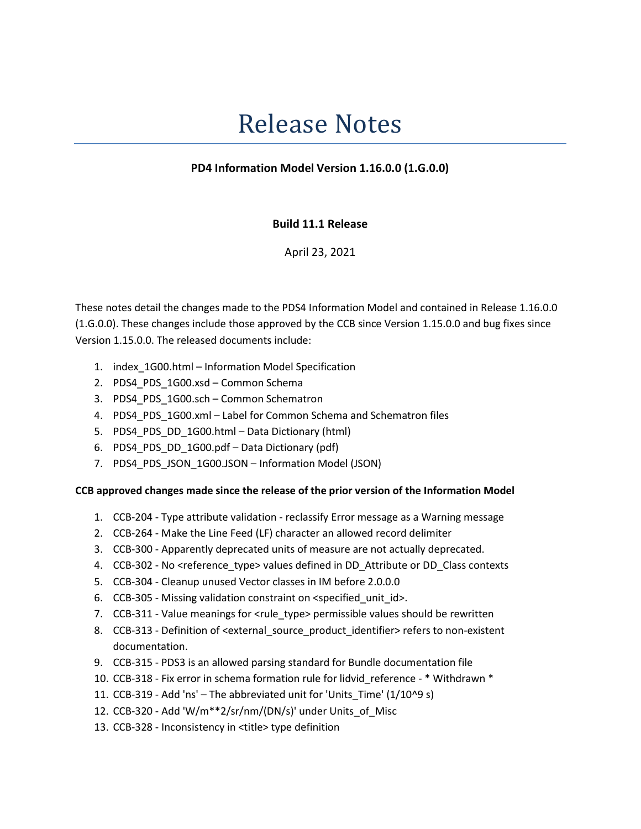# Release Notes

## PD4 Information Model Version 1.16.0.0 (1.G.0.0)

### Build 11.1 Release

April 23, 2021

These notes detail the changes made to the PDS4 Information Model and contained in Release 1.16.0.0 (1.G.0.0). These changes include those approved by the CCB since Version 1.15.0.0 and bug fixes since Version 1.15.0.0. The released documents include:

- 1. index\_1G00.html Information Model Specification
- 2. PDS4\_PDS\_1G00.xsd Common Schema
- 3. PDS4 PDS 1G00.sch Common Schematron
- 4. PDS4 PDS 1G00.xml Label for Common Schema and Schematron files
- 5. PDS4\_PDS\_DD\_1G00.html Data Dictionary (html)
- 6. PDS4\_PDS\_DD\_1G00.pdf Data Dictionary (pdf)
- 7. PDS4\_PDS\_JSON\_1G00.JSON Information Model (JSON)

#### CCB approved changes made since the release of the prior version of the Information Model

- 1. CCB-204 Type attribute validation reclassify Error message as a Warning message
- 2. CCB-264 Make the Line Feed (LF) character an allowed record delimiter
- 3. CCB-300 Apparently deprecated units of measure are not actually deprecated.
- 4. CCB-302 No <reference\_type> values defined in DD\_Attribute or DD\_Class contexts
- 5. CCB-304 Cleanup unused Vector classes in IM before 2.0.0.0
- 6. CCB-305 Missing validation constraint on <specified\_unit\_id>.
- 7. CCB-311 Value meanings for <rule\_type> permissible values should be rewritten
- 8. CCB-313 Definition of <external\_source\_product\_identifier> refers to non-existent documentation.
- 9. CCB-315 PDS3 is an allowed parsing standard for Bundle documentation file
- 10. CCB-318 Fix error in schema formation rule for lidvid reference \* Withdrawn \*
- 11. CCB-319 Add 'ns' The abbreviated unit for 'Units\_Time' (1/10^9 s)
- 12. CCB-320 Add 'W/m\*\*2/sr/nm/(DN/s)' under Units\_of\_Misc
- 13. CCB-328 Inconsistency in <title> type definition